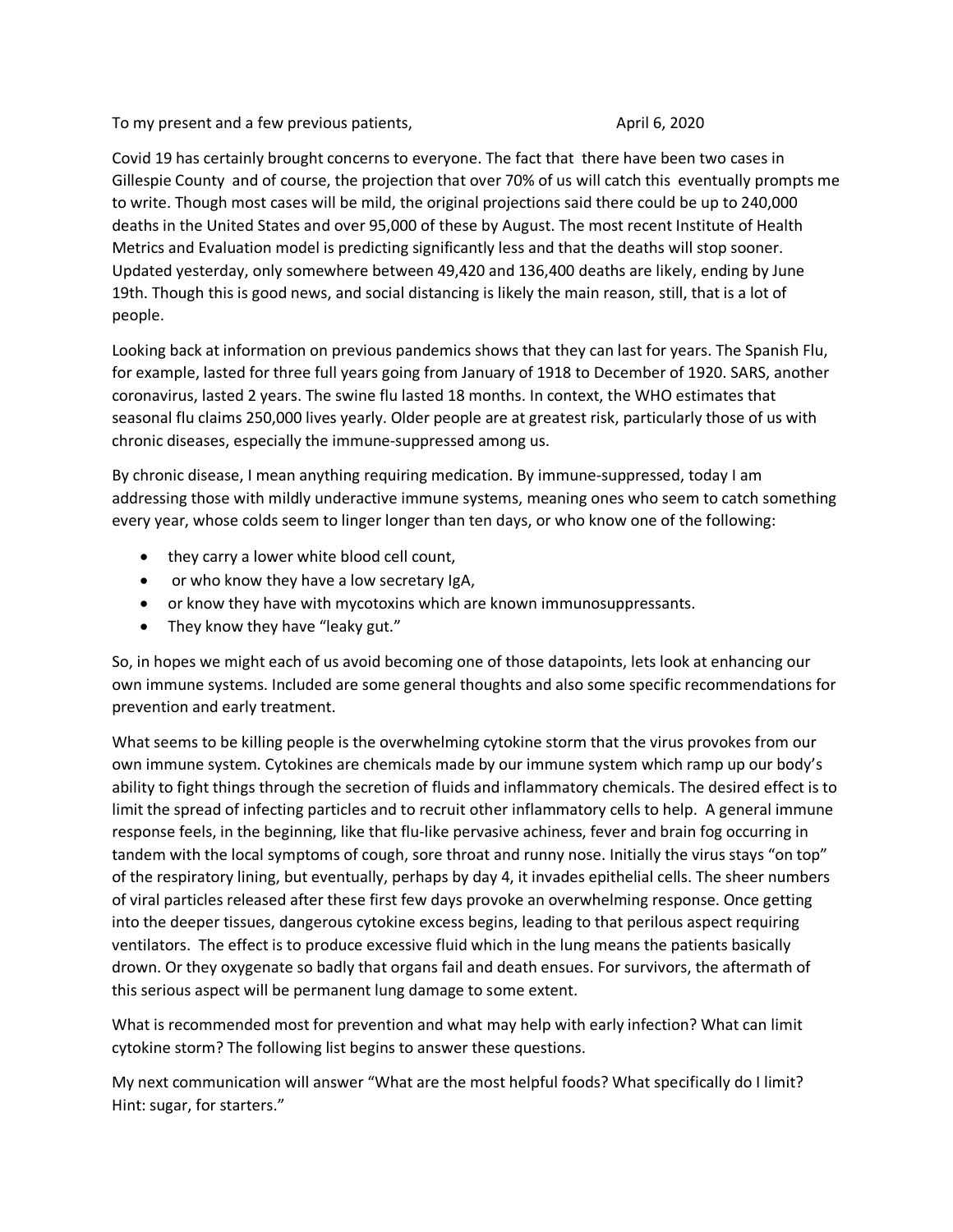To my present and a few previous patients, The May 2020 Company 2020

Covid 19 has certainly brought concerns to everyone. The fact that there have been two cases in Gillespie County and of course, the projection that over 70% of us will catch this eventually prompts me to write. Though most cases will be mild, the original projections said there could be up to 240,000 deaths in the United States and over 95,000 of these by August. The most recent Institute of Health Metrics and Evaluation model is predicting significantly less and that the deaths will stop sooner. Updated yesterday, only somewhere between 49,420 and 136,400 deaths are likely, ending by June 19th. Though this is good news, and social distancing is likely the main reason, still, that is a lot of people.

Looking back at information on previous pandemics shows that they can last for years. The Spanish Flu, for example, lasted for three full years going from January of 1918 to December of 1920. SARS, another coronavirus, lasted 2 years. The swine flu lasted 18 months. In context, the WHO estimates that seasonal flu claims 250,000 lives yearly. Older people are at greatest risk, particularly those of us with chronic diseases, especially the immune-suppressed among us.

By chronic disease, I mean anything requiring medication. By immune-suppressed, today I am addressing those with mildly underactive immune systems, meaning ones who seem to catch something every year, whose colds seem to linger longer than ten days, or who know one of the following:

- they carry a lower white blood cell count,
- or who know they have a low secretary IgA,
- or know they have with mycotoxins which are known immunosuppressants.
- They know they have "leaky gut."

So, in hopes we might each of us avoid becoming one of those datapoints, lets look at enhancing our own immune systems. Included are some general thoughts and also some specific recommendations for prevention and early treatment.

What seems to be killing people is the overwhelming cytokine storm that the virus provokes from our own immune system. Cytokines are chemicals made by our immune system which ramp up our body's ability to fight things through the secretion of fluids and inflammatory chemicals. The desired effect is to limit the spread of infecting particles and to recruit other inflammatory cells to help. A general immune response feels, in the beginning, like that flu-like pervasive achiness, fever and brain fog occurring in tandem with the local symptoms of cough, sore throat and runny nose. Initially the virus stays "on top" of the respiratory lining, but eventually, perhaps by day 4, it invades epithelial cells. The sheer numbers of viral particles released after these first few days provoke an overwhelming response. Once getting into the deeper tissues, dangerous cytokine excess begins, leading to that perilous aspect requiring ventilators. The effect is to produce excessive fluid which in the lung means the patients basically drown. Or they oxygenate so badly that organs fail and death ensues. For survivors, the aftermath of this serious aspect will be permanent lung damage to some extent.

What is recommended most for prevention and what may help with early infection? What can limit cytokine storm? The following list begins to answer these questions.

My next communication will answer "What are the most helpful foods? What specifically do I limit? Hint: sugar, for starters."